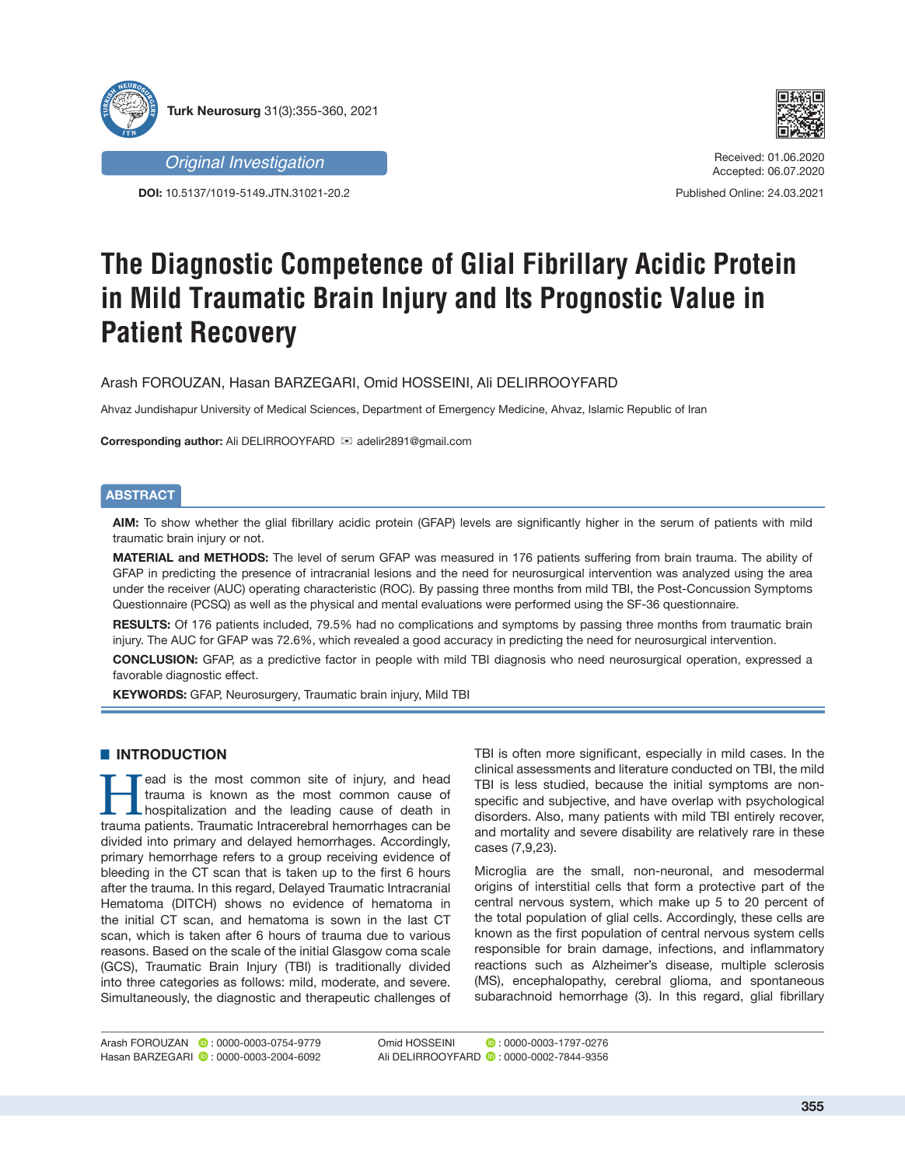



*Original Investigation*

**DOI:** 10.5137/1019-5149.JTN.31021-20.2

Received: 01.06.2020 Accepted: 06.07.2020

Published Online: 24.03.2021

# **The Diagnostic Competence of Glial Fibrillary Acidic Protein in Mild Traumatic Brain Injury and Its Prognostic Value in Patient Recovery**

Arash FOROUZAN, Hasan BARZEGARI, Omid HOSSEINI, Ali DELIRROOYFARD

Ahvaz Jundishapur University of Medical Sciences, Department of Emergency Medicine, Ahvaz, Islamic Republic of Iran

**Corresponding author:** Ali DELIRROOYFARD **is adelir2891@gmail.com** 

# **ABSTRACT**

**AIM:** To show whether the glial fibrillary acidic protein (GFAP) levels are significantly higher in the serum of patients with mild traumatic brain injury or not.

**MATERIAL and METHODS:** The level of serum GFAP was measured in 176 patients suffering from brain trauma. The ability of GFAP in predicting the presence of intracranial lesions and the need for neurosurgical intervention was analyzed using the area under the receiver (AUC) operating characteristic (ROC). By passing three months from mild TBI, the Post-Concussion Symptoms Questionnaire (PCSQ) as well as the physical and mental evaluations were performed using the SF-36 questionnaire.

**RESULTS:** Of 176 patients included, 79.5% had no complications and symptoms by passing three months from traumatic brain injury. The AUC for GFAP was 72.6%, which revealed a good accuracy in predicting the need for neurosurgical intervention.

**CONCLUSION:** GFAP, as a predictive factor in people with mild TBI diagnosis who need neurosurgical operation, expressed a favorable diagnostic effect.

**KEYWORDS:** GFAP, Neurosurgery, Traumatic brain injury, Mild TBI

# $\blacksquare$  **INTRODUCTION**

Fead is the most common site of injury, and head trauma is known as the most common cause of hospitalization and the leading cause of death in trauma patients. Traumatic Intracerebral benominates can be trauma is known as the most common cause of trauma patients. Traumatic Intracerebral hemorrhages can be divided into primary and delayed hemorrhages. Accordingly, primary hemorrhage refers to a group receiving evidence of bleeding in the CT scan that is taken up to the first 6 hours after the trauma. In this regard, Delayed Traumatic Intracranial Hematoma (DITCH) shows no evidence of hematoma in the initial CT scan, and hematoma is sown in the last CT scan, which is taken after 6 hours of trauma due to various reasons. Based on the scale of the initial Glasgow coma scale (GCS), Traumatic Brain Injury (TBI) is traditionally divided into three categories as follows: mild, moderate, and severe. Simultaneously, the diagnostic and therapeutic challenges of TBI is often more significant, especially in mild cases. In the clinical assessments and literature conducted on TBI, the mild TBI is less studied, because the initial symptoms are nonspecific and subjective, and have overlap with psychological disorders. Also, many patients with mild TBI entirely recover, and mortality and severe disability are relatively rare in these cases (7,9,23).

Microglia are the small, non-neuronal, and mesodermal origins of interstitial cells that form a protective part of the central nervous system, which make up 5 to 20 percent of the total population of glial cells. Accordingly, these cells are known as the first population of central nervous system cells responsible for brain damage, infections, and inflammatory reactions such as Alzheimer's disease, multiple sclerosis (MS), encephalopathy, cerebral glioma, and spontaneous subarachnoid hemorrhage (3). In this regard, glial fibrillary

Omid HOSSEINI : 0000-0003-1797-0276 Ali DELIRROOYFARD **:** 0000-0002-7844-9356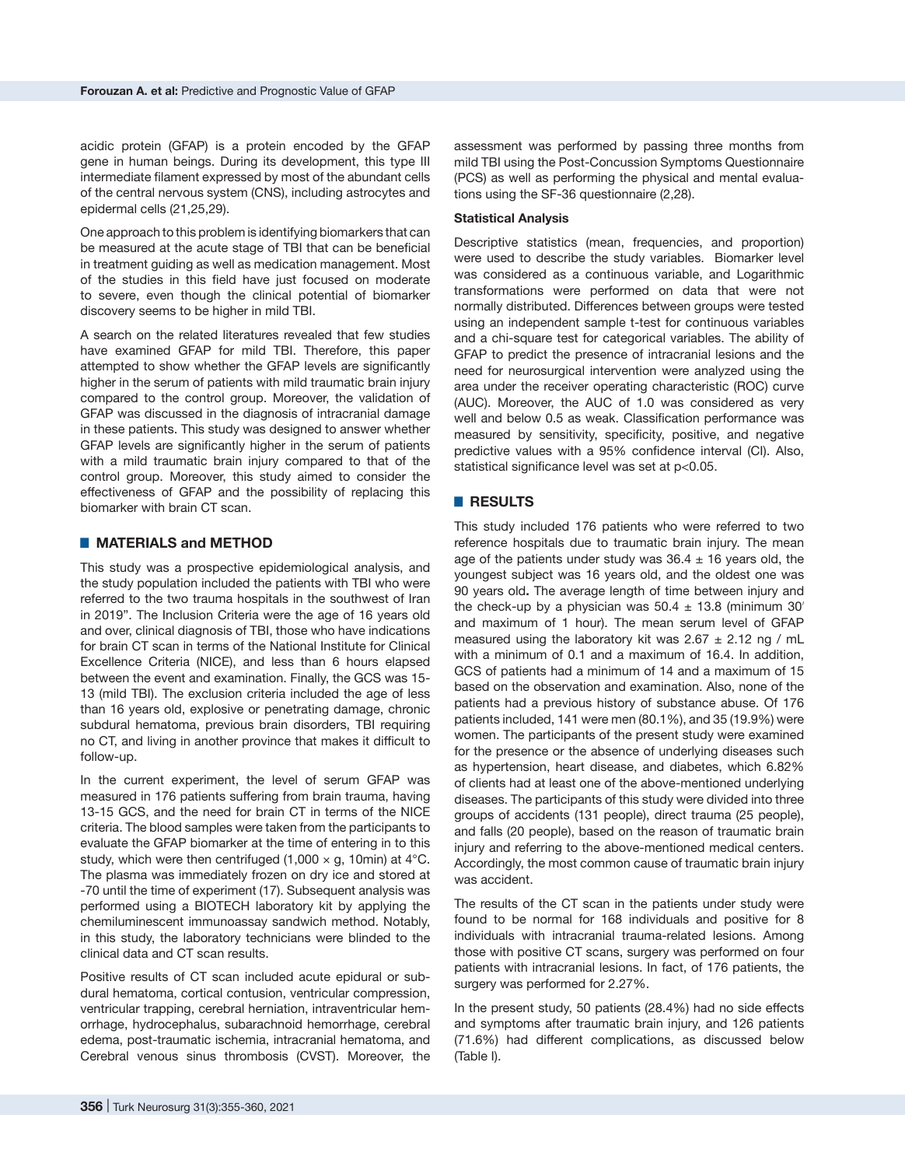acidic protein (GFAP) is a protein encoded by the GFAP gene in human beings. During its development, this type III intermediate filament expressed by most of the abundant cells of the central nervous system (CNS), including astrocytes and epidermal cells (21,25,29).

One approach to this problem is identifying biomarkers that can be measured at the acute stage of TBI that can be beneficial in treatment guiding as well as medication management. Most of the studies in this field have just focused on moderate to severe, even though the clinical potential of biomarker discovery seems to be higher in mild TBI.

A search on the related literatures revealed that few studies have examined GFAP for mild TBI. Therefore, this paper attempted to show whether the GFAP levels are significantly higher in the serum of patients with mild traumatic brain injury compared to the control group. Moreover, the validation of GFAP was discussed in the diagnosis of intracranial damage in these patients. This study was designed to answer whether GFAP levels are significantly higher in the serum of patients with a mild traumatic brain injury compared to that of the control group. Moreover, this study aimed to consider the effectiveness of GFAP and the possibility of replacing this biomarker with brain CT scan.

### ■ **MATERIALS** and **METHOD**

This study was a prospective epidemiological analysis, and the study population included the patients with TBI who were referred to the two trauma hospitals in the southwest of Iran in 2019". The Inclusion Criteria were the age of 16 years old and over, clinical diagnosis of TBI, those who have indications for brain CT scan in terms of the National Institute for Clinical Excellence Criteria (NICE), and less than 6 hours elapsed between the event and examination. Finally, the GCS was 15- 13 (mild TBI). The exclusion criteria included the age of less than 16 years old, explosive or penetrating damage, chronic subdural hematoma, previous brain disorders, TBI requiring no CT, and living in another province that makes it difficult to follow-up.

In the current experiment, the level of serum GFAP was measured in 176 patients suffering from brain trauma, having 13-15 GCS, and the need for brain CT in terms of the NICE criteria. The blood samples were taken from the participants to evaluate the GFAP biomarker at the time of entering in to this study, which were then centrifuged (1,000  $\times$  g, 10min) at 4°C. The plasma was immediately frozen on dry ice and stored at -70 until the time of experiment (17). Subsequent analysis was performed using a BIOTECH laboratory kit by applying the chemiluminescent immunoassay sandwich method. Notably, in this study, the laboratory technicians were blinded to the clinical data and CT scan results.

Positive results of CT scan included acute epidural or subdural hematoma, cortical contusion, ventricular compression, ventricular trapping, cerebral herniation, intraventricular hemorrhage, hydrocephalus, subarachnoid hemorrhage, cerebral edema, post-traumatic ischemia, intracranial hematoma, and Cerebral venous sinus thrombosis (CVST). Moreover, the

assessment was performed by passing three months from mild TBI using the Post-Concussion Symptoms Questionnaire (PCS) as well as performing the physical and mental evaluations using the SF-36 questionnaire (2,28).

#### **Statistical Analysis**

Descriptive statistics (mean, frequencies, and proportion) were used to describe the study variables. Biomarker level was considered as a continuous variable, and Logarithmic transformations were performed on data that were not normally distributed. Differences between groups were tested using an independent sample t-test for continuous variables and a chi-square test for categorical variables. The ability of GFAP to predict the presence of intracranial lesions and the need for neurosurgical intervention were analyzed using the area under the receiver operating characteristic (ROC) curve (AUC). Moreover, the AUC of 1.0 was considered as very well and below 0.5 as weak. Classification performance was measured by sensitivity, specificity, positive, and negative predictive values with a 95% confidence interval (CI). Also, statistical significance level was set at p<0.05.

# █ **RESULTS**

This study included 176 patients who were referred to two reference hospitals due to traumatic brain injury. The mean age of the patients under study was  $36.4 \pm 16$  years old, the youngest subject was 16 years old, and the oldest one was 90 years old**.** The average length of time between injury and the check-up by a physician was  $50.4 \pm 13.8$  (minimum  $30'$ and maximum of 1 hour). The mean serum level of GFAP measured using the laboratory kit was  $2.67 \pm 2.12$  ng / mL with a minimum of 0.1 and a maximum of 16.4. In addition, GCS of patients had a minimum of 14 and a maximum of 15 based on the observation and examination. Also, none of the patients had a previous history of substance abuse. Of 176 patients included, 141 were men (80.1%), and 35 (19.9%) were women. The participants of the present study were examined for the presence or the absence of underlying diseases such as hypertension, heart disease, and diabetes, which 6.82% of clients had at least one of the above-mentioned underlying diseases. The participants of this study were divided into three groups of accidents (131 people), direct trauma (25 people), and falls (20 people), based on the reason of traumatic brain injury and referring to the above-mentioned medical centers. Accordingly, the most common cause of traumatic brain injury was accident.

The results of the CT scan in the patients under study were found to be normal for 168 individuals and positive for 8 individuals with intracranial trauma-related lesions. Among those with positive CT scans, surgery was performed on four patients with intracranial lesions. In fact, of 176 patients, the surgery was performed for 2.27%.

In the present study, 50 patients (28.4%) had no side effects and symptoms after traumatic brain injury, and 126 patients (71.6%) had different complications, as discussed below (Table I).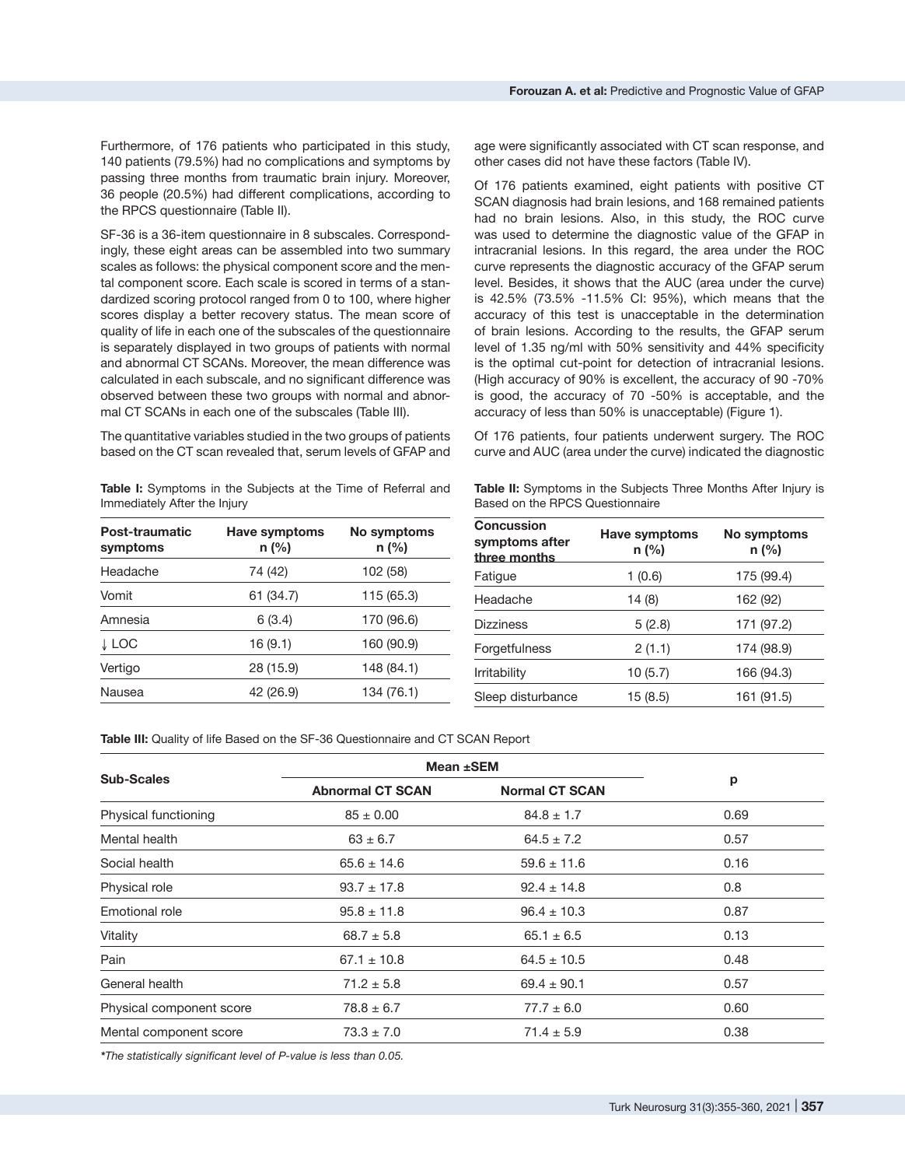Furthermore, of 176 patients who participated in this study, 140 patients (79.5%) had no complications and symptoms by passing three months from traumatic brain injury. Moreover, 36 people (20.5%) had different complications, according to the RPCS questionnaire (Table II).

SF-36 is a 36-item questionnaire in 8 subscales. Correspondingly, these eight areas can be assembled into two summary scales as follows: the physical component score and the mental component score. Each scale is scored in terms of a standardized scoring protocol ranged from 0 to 100, where higher scores display a better recovery status. The mean score of quality of life in each one of the subscales of the questionnaire is separately displayed in two groups of patients with normal and abnormal CT SCANs. Moreover, the mean difference was calculated in each subscale, and no significant difference was observed between these two groups with normal and abnormal CT SCANs in each one of the subscales (Table III).

The quantitative variables studied in the two groups of patients based on the CT scan revealed that, serum levels of GFAP and

**Table I:** Symptoms in the Subjects at the Time of Referral and Immediately After the Injury

| Post-traumatic<br>symptoms | <b>Have symptoms</b><br>$n$ (%) | No symptoms<br>n (%) |  |
|----------------------------|---------------------------------|----------------------|--|
| Headache                   | 74 (42)                         | 102 (58)             |  |
| Vomit                      | 61 (34.7)                       | 115 (65.3)           |  |
| Amnesia                    | 6(3.4)                          | 170 (96.6)           |  |
| ↓ LOC                      | 16(9.1)                         | 160 (90.9)           |  |
| Vertigo                    | 28 (15.9)                       | 148 (84.1)           |  |
| Nausea                     | 42 (26.9)                       | 134 (76.1)           |  |

age were significantly associated with CT scan response, and other cases did not have these factors (Table IV).

Of 176 patients examined, eight patients with positive CT SCAN diagnosis had brain lesions, and 168 remained patients had no brain lesions. Also, in this study, the ROC curve was used to determine the diagnostic value of the GFAP in intracranial lesions. In this regard, the area under the ROC curve represents the diagnostic accuracy of the GFAP serum level. Besides, it shows that the AUC (area under the curve) is 42.5% (73.5% -11.5% CI: 95%), which means that the accuracy of this test is unacceptable in the determination of brain lesions. According to the results, the GFAP serum level of 1.35 ng/ml with 50% sensitivity and 44% specificity is the optimal cut-point for detection of intracranial lesions. (High accuracy of 90% is excellent, the accuracy of 90 -70% is good, the accuracy of 70 -50% is acceptable, and the accuracy of less than 50% is unacceptable) (Figure 1).

Of 176 patients, four patients underwent surgery. The ROC curve and AUC (area under the curve) indicated the diagnostic

**Table II:** Symptoms in the Subjects Three Months After Injury is Based on the RPCS Questionnaire

| <b>Concussion</b><br>symptoms after<br>three months | <b>Have symptoms</b><br>$n$ (%) | No symptoms<br>n (%) |
|-----------------------------------------------------|---------------------------------|----------------------|
| Fatigue                                             | 1(0.6)                          | 175 (99.4)           |
| Headache                                            | 14 (8)                          | 162 (92)             |
| <b>Dizziness</b>                                    | 5(2.8)                          | 171 (97.2)           |
| Forgetfulness                                       | 2(1.1)                          | 174 (98.9)           |
| <b>Irritability</b>                                 | 10(5.7)                         | 166 (94.3)           |
| Sleep disturbance                                   | 15 (8.5)                        | 161 (91.5)           |

**Table III:** Quality of life Based on the SF-36 Questionnaire and CT SCAN Report

| <b>Sub-Scales</b>        | Mean ±SEM               |                       |      |
|--------------------------|-------------------------|-----------------------|------|
|                          | <b>Abnormal CT SCAN</b> | <b>Normal CT SCAN</b> | p    |
| Physical functioning     | $85 \pm 0.00$           | $84.8 \pm 1.7$        | 0.69 |
| Mental health            | $63 \pm 6.7$            | $64.5 \pm 7.2$        | 0.57 |
| Social health            | $65.6 \pm 14.6$         | $59.6 \pm 11.6$       | 0.16 |
| Physical role            | $93.7 \pm 17.8$         | $92.4 \pm 14.8$       | 0.8  |
| Emotional role           | $95.8 \pm 11.8$         | $96.4 \pm 10.3$       | 0.87 |
| Vitality                 | $68.7 \pm 5.8$          | $65.1 \pm 6.5$        | 0.13 |
| Pain                     | $67.1 \pm 10.8$         | $64.5 \pm 10.5$       | 0.48 |
| General health           | $71.2 \pm 5.8$          | $69.4 \pm 90.1$       | 0.57 |
| Physical component score | $78.8 \pm 6.7$          | $77.7 \pm 6.0$        | 0.60 |
| Mental component score   | $73.3 \pm 7.0$          | $71.4 \pm 5.9$        | 0.38 |

*\*The statistically significant level of P-value is less than 0.05.*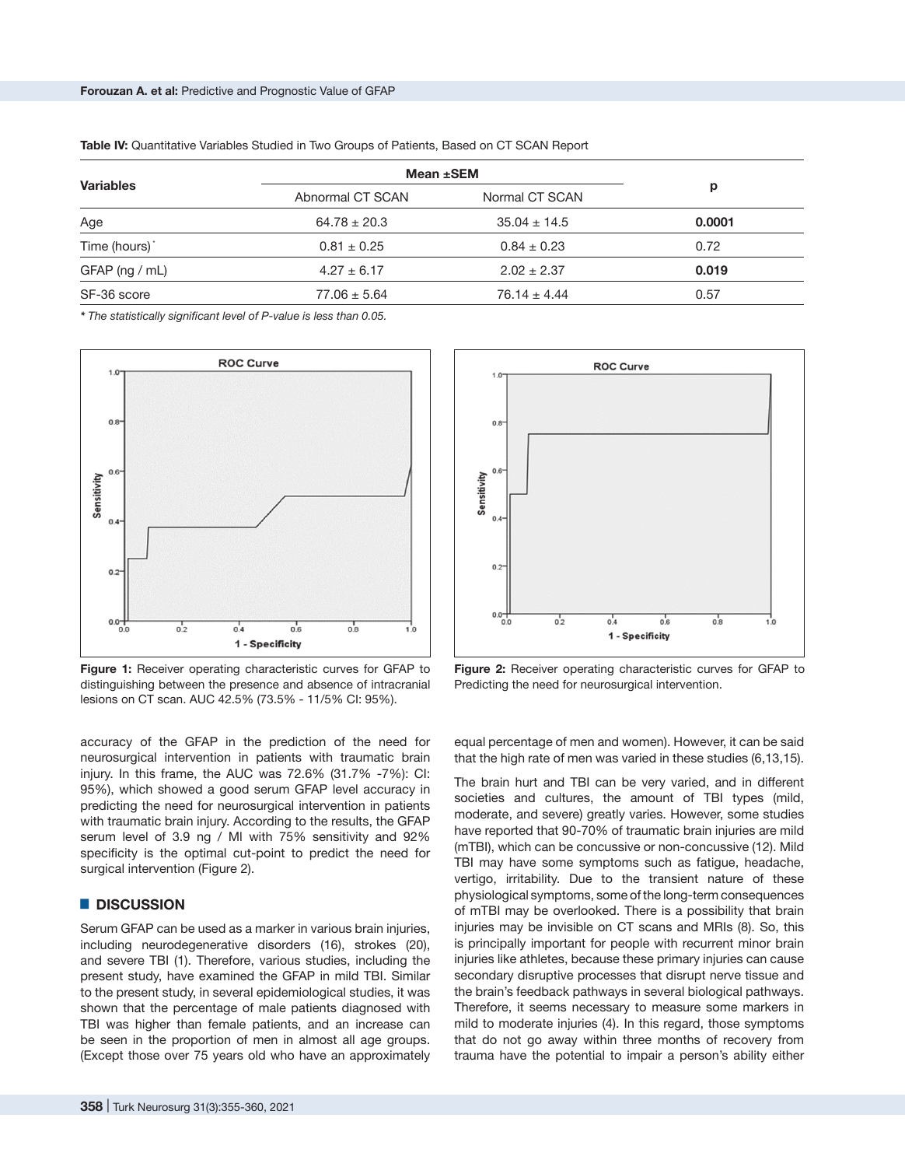| <b>Variables</b>          | Mean ±SEM        |                  |        |
|---------------------------|------------------|------------------|--------|
|                           | Abnormal CT SCAN | Normal CT SCAN   | р      |
| Age                       | $64.78 \pm 20.3$ | $35.04 \pm 14.5$ | 0.0001 |
| Time (hours) <sup>*</sup> | $0.81 \pm 0.25$  | $0.84 \pm 0.23$  | 0.72   |
| GFAP (ng / mL)            | $4.27 \pm 6.17$  | $2.02 \pm 2.37$  | 0.019  |
| SF-36 score               | $77.06 \pm 5.64$ | $76.14 \pm 4.44$ | 0.57   |

Table IV: Quantitative Variables Studied in Two Groups of Patients, Based on CT SCAN Report

*\* The statistically significant level of P-value is less than 0.05.*



**Figure 1:** Receiver operating characteristic curves for GFAP to distinguishing between the presence and absence of intracranial lesions on CT scan. AUC 42.5% (73.5% - 11/5% CI: 95%).

accuracy of the GFAP in the prediction of the need for neurosurgical intervention in patients with traumatic brain injury. In this frame, the AUC was 72.6% (31.7% -7%): CI: 95%), which showed a good serum GFAP level accuracy in predicting the need for neurosurgical intervention in patients with traumatic brain injury. According to the results, the GFAP serum level of 3.9 ng / Ml with 75% sensitivity and 92% specificity is the optimal cut-point to predict the need for surgical intervention (Figure 2).

### █ **DISCUSSION**

Serum GFAP can be used as a marker in various brain injuries, including neurodegenerative disorders (16), strokes (20), and severe TBI (1). Therefore, various studies, including the present study, have examined the GFAP in mild TBI. Similar to the present study, in several epidemiological studies, it was shown that the percentage of male patients diagnosed with TBI was higher than female patients, and an increase can be seen in the proportion of men in almost all age groups. (Except those over 75 years old who have an approximately



**Figure 2:** Receiver operating characteristic curves for GFAP to Predicting the need for neurosurgical intervention.

equal percentage of men and women). However, it can be said that the high rate of men was varied in these studies (6,13,15).

The brain hurt and TBI can be very varied, and in different societies and cultures, the amount of TBI types (mild, moderate, and severe) greatly varies. However, some studies have reported that 90-70% of traumatic brain injuries are mild (mTBI), which can be concussive or non-concussive (12). Mild TBI may have some symptoms such as fatigue, headache, vertigo, irritability. Due to the transient nature of these physiological symptoms, some of the long-term consequences of mTBI may be overlooked. There is a possibility that brain injuries may be invisible on CT scans and MRIs (8). So, this is principally important for people with recurrent minor brain injuries like athletes, because these primary injuries can cause secondary disruptive processes that disrupt nerve tissue and the brain's feedback pathways in several biological pathways. Therefore, it seems necessary to measure some markers in mild to moderate injuries (4). In this regard, those symptoms that do not go away within three months of recovery from trauma have the potential to impair a person's ability either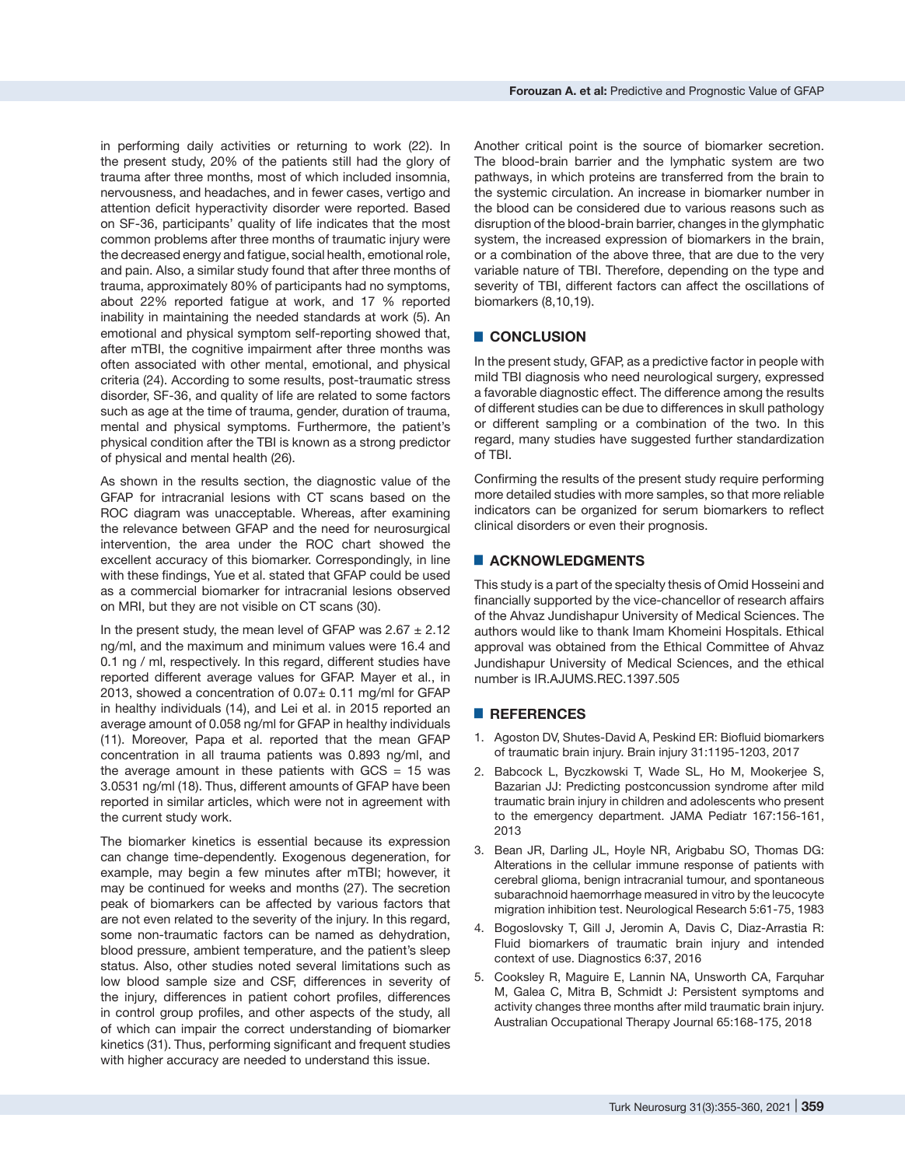in performing daily activities or returning to work (22). In the present study, 20% of the patients still had the glory of trauma after three months, most of which included insomnia, nervousness, and headaches, and in fewer cases, vertigo and attention deficit hyperactivity disorder were reported. Based on SF-36, participants' quality of life indicates that the most common problems after three months of traumatic injury were the decreased energy and fatigue, social health, emotional role, and pain. Also, a similar study found that after three months of trauma, approximately 80% of participants had no symptoms, about 22% reported fatigue at work, and 17 % reported inability in maintaining the needed standards at work (5). An emotional and physical symptom self-reporting showed that, after mTBI, the cognitive impairment after three months was often associated with other mental, emotional, and physical criteria (24). According to some results, post-traumatic stress disorder, SF-36, and quality of life are related to some factors such as age at the time of trauma, gender, duration of trauma, mental and physical symptoms. Furthermore, the patient's physical condition after the TBI is known as a strong predictor of physical and mental health (26).

As shown in the results section, the diagnostic value of the GFAP for intracranial lesions with CT scans based on the ROC diagram was unacceptable. Whereas, after examining the relevance between GFAP and the need for neurosurgical intervention, the area under the ROC chart showed the excellent accuracy of this biomarker. Correspondingly, in line with these findings, Yue et al. stated that GFAP could be used as a commercial biomarker for intracranial lesions observed on MRI, but they are not visible on CT scans (30).

In the present study, the mean level of GFAP was  $2.67 \pm 2.12$ ng/ml, and the maximum and minimum values were 16.4 and 0.1 ng / ml, respectively. In this regard, different studies have reported different average values for GFAP. Mayer et al., in 2013, showed a concentration of  $0.07\pm$  0.11 mg/ml for GFAP in healthy individuals (14), and Lei et al. in 2015 reported an average amount of 0.058 ng/ml for GFAP in healthy individuals (11). Moreover, Papa et al. reported that the mean GFAP concentration in all trauma patients was 0.893 ng/ml, and the average amount in these patients with  $GCS = 15$  was 3.0531 ng/ml (18). Thus, different amounts of GFAP have been reported in similar articles, which were not in agreement with the current study work.

The biomarker kinetics is essential because its expression can change time-dependently. Exogenous degeneration, for example, may begin a few minutes after mTBI; however, it may be continued for weeks and months (27). The secretion peak of biomarkers can be affected by various factors that are not even related to the severity of the injury. In this regard, some non-traumatic factors can be named as dehydration, blood pressure, ambient temperature, and the patient's sleep status. Also, other studies noted several limitations such as low blood sample size and CSF, differences in severity of the injury, differences in patient cohort profiles, differences in control group profiles, and other aspects of the study, all of which can impair the correct understanding of biomarker kinetics (31). Thus, performing significant and frequent studies with higher accuracy are needed to understand this issue.

Another critical point is the source of biomarker secretion. The blood-brain barrier and the lymphatic system are two pathways, in which proteins are transferred from the brain to the systemic circulation. An increase in biomarker number in the blood can be considered due to various reasons such as disruption of the blood-brain barrier, changes in the glymphatic system, the increased expression of biomarkers in the brain, or a combination of the above three, that are due to the very variable nature of TBI. Therefore, depending on the type and severity of TBI, different factors can affect the oscillations of biomarkers (8,10,19).

# █ **CONCLUSION**

In the present study, GFAP, as a predictive factor in people with mild TBI diagnosis who need neurological surgery, expressed a favorable diagnostic effect. The difference among the results of different studies can be due to differences in skull pathology or different sampling or a combination of the two. In this regard, many studies have suggested further standardization of TBI.

Confirming the results of the present study require performing more detailed studies with more samples, so that more reliable indicators can be organized for serum biomarkers to reflect clinical disorders or even their prognosis.

# █ **ACKNOWLEDGMENTS**

This study is a part of the specialty thesis of Omid Hosseini and financially supported by the vice-chancellor of research affairs of the Ahvaz Jundishapur University of Medical Sciences. The authors would like to thank Imam Khomeini Hospitals. Ethical approval was obtained from the Ethical Committee of Ahvaz Jundishapur University of Medical Sciences, and the ethical number is IR.AJUMS.REC.1397.505

#### █ **REFERENCES**

- 1. Agoston DV, Shutes-David A, Peskind ER: Biofluid biomarkers of traumatic brain injury. Brain injury 31:1195-1203, 2017
- 2. Babcock L, Byczkowski T, Wade SL, Ho M, Mookerjee S, Bazarian JJ: Predicting postconcussion syndrome after mild traumatic brain injury in children and adolescents who present to the emergency department. JAMA Pediatr 167:156-161, 2013
- 3. Bean JR, Darling JL, Hoyle NR, Arigbabu SO, Thomas DG: Alterations in the cellular immune response of patients with cerebral glioma, benign intracranial tumour, and spontaneous subarachnoid haemorrhage measured in vitro by the leucocyte migration inhibition test. Neurological Research 5:61-75, 1983
- 4. Bogoslovsky T, Gill J, Jeromin A, Davis C, Diaz-Arrastia R: Fluid biomarkers of traumatic brain injury and intended context of use. Diagnostics 6:37, 2016
- 5. Cooksley R, Maguire E, Lannin NA, Unsworth CA, Farquhar M, Galea C, Mitra B, Schmidt J: Persistent symptoms and activity changes three months after mild traumatic brain injury. Australian Occupational Therapy Journal 65:168-175, 2018